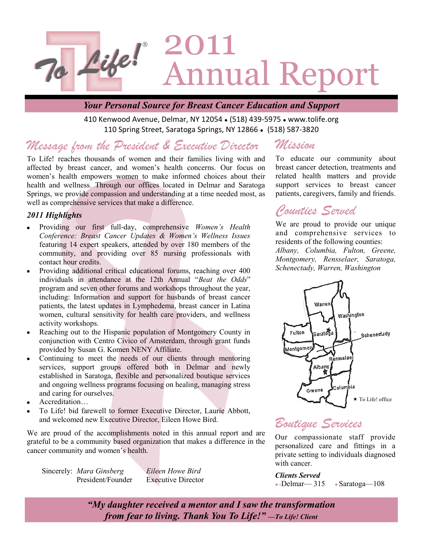

### *Your Personal Source for Breast Cancer Education and Support*

410 Kenwood Avenue, Delmar, NY 12054 . (518) 439-5975 . www.tolife.org 110 Spring Street, Saratoga Springs, NY 12866 • (518) 587-3820

#### *Message from the President & Executive Director Mission*

To Life! reaches thousands of women and their families living with and affected by breast cancer, and women's health concerns. Our focus on women's health empowers women to make informed choices about their health and wellness. Through our offices located in Delmar and Saratoga Springs, we provide compassion and understanding at a time needed most, as well as comprehensive services that make a difference.

#### *2011 Highlights*

- Providing our first full-day, comprehensive *Women's Health Conference: Breast Cancer Updates & Women's Wellness Issues*  featuring 14 expert speakers, attended by over 180 members of the community, and providing over 85 nursing professionals with contact hour credits.
- Providing additional critical educational forums, reaching over 400  $\bullet$ individuals in attendance at the 12th Annual "*Beat the Odds*" program and seven other forums and workshops throughout the year, including: Information and support for husbands of breast cancer patients, the latest updates in Lymphedema, breast cancer in Latina women, cultural sensitivity for health care providers, and wellness activity workshops.
- Reaching out to the Hispanic population of Montgomery County in conjunction with Centro Civico of Amsterdam, through grant funds provided by Susan G. Komen NENY Affiliate.
- Continuing to meet the needs of our clients through mentoring  $\bullet$ services, support groups offered both in Delmar and newly established in Saratoga, flexible and personalized boutique services and ongoing wellness programs focusing on healing, managing stress and caring for ourselves.
- Accreditation…
- To Life! bid farewell to former Executive Director, Laurie Abbott, and welcomed new Executive Director, Eileen Howe Bird.

We are proud of the accomplishments noted in this annual report and are grateful to be a community based organization that makes a difference in the cancer community and women's health.

Sincerely: *Mara Ginsberg Eileen Howe Bird*

President/Founder Executive Director

To educate our community about breast cancer detection, treatments and related health matters and provide support services to breast cancer patients, caregivers, family and friends.

### *Counties Served*

We are proud to provide our unique and comprehensive services to residents of the following counties: *Albany, Columbia, Fulton, Greene, Montgomery, Rensselaer, Saratoga, Schenectady, Warren, Washington*



## *Boutique Services*

Our compassionate staff provide personalized care and fittings in a private setting to individuals diagnosed with cancer.

*Clients Served*  $\bullet$  Delmar— 315  $\bullet$  Saratoga—108

*"My daughter received a mentor and I saw the transformation from fear to living. Thank You To Life!" —To Life! Client*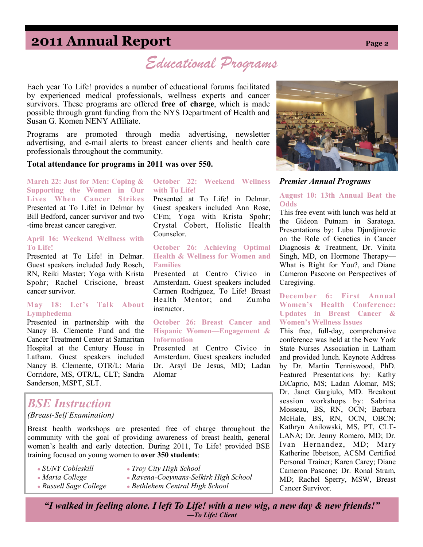## **2011 Annual Report Page 2**

*Educational Programs*

**October 22: Weekend Wellness** 

Presented at To Life! in Delmar. Guest speakers included Ann Rose, CFm; Yoga with Krista Spohr; Crystal Cobert, Holistic Health

**October 26: Achieving Optimal Health & Wellness for Women and** 

Presented at Centro Civico in Amsterdam. Guest speakers included Carmen Rodriguez, To Life! Breast Health Mentor; and Zumba

**October 26: Breast Cancer and Hispanic Women—Engagement &** 

Presented at Centro Civico in Amsterdam. Guest speakers included Dr. Arsyl De Jesus, MD; Ladan

Each year To Life! provides a number of educational forums facilitated by experienced medical professionals, wellness experts and cancer survivors. These programs are offered **free of charge**, which is made possible through grant funding from the NYS Department of Health and Susan G. Komen NENY Affiliate.

Programs are promoted through media advertising, newsletter advertising, and e-mail alerts to breast cancer clients and health care professionals throughout the community.

**with To Life!** 

Counselor.

**Families** 

instructor.

**Information** 

Alomar

#### **Total attendance for programs in 2011 was over 550.**

**March 22: Just for Men: Coping & Supporting the Women in Our Lives When Cancer Strikes**  Presented at To Life! in Delmar by Bill Bedford, cancer survivor and two -time breast cancer caregiver.

#### **April 16: Weekend Wellness with To Life!**

Presented at To Life! in Delmar. Guest speakers included Judy Rosch, RN, Reiki Master; Yoga with Krista Spohr; Rachel Criscione, breast cancer survivor.

#### **May 18: Let's Talk About Lymphedema**

Presented in partnership with the Nancy B. Clemente Fund and the Cancer Treatment Center at Samaritan Hospital at the Century House in Latham. Guest speakers included Nancy B. Clemente, OTR/L; Maria Corridore, MS, OTR/L, CLT; Sandra Sanderson, MSPT, SLT.

### *BSE Instruction (Breast-Self Examination)*

Breast health workshops are presented free of charge throughout the community with the goal of providing awareness of breast health, general women's health and early detection. During 2011, To Life! provided BSE training focused on young women to **over 350 students**:

- *SUNY Cobleskill Troy City High School*
	-
	-
- *Maria College Ravena-Coeymans-Selkirk High School*
- 
- *Russell Sage College Bethlehem Central High School*
	-



#### *Premier Annual Programs*

#### **August 10: 13th Annual Beat the Odds**

This free event with lunch was held at the Gideon Putnam in Saratoga. Presentations by: Luba Djurdjinovic on the Role of Genetics in Cancer Diagnosis & Treatment, Dr. Vinita Singh, MD, on Hormone Therapy— What is Right for You?, and Diane Cameron Pascone on Perspectives of Caregiving.

#### **December 6: First Annual Women's Health Conference: Updates in Breast Cancer & Women's Wellness Issues**

This free, full-day, comprehensive conference was held at the New York State Nurses Association in Latham and provided lunch. Keynote Address by Dr. Martin Tenniswood, PhD. Featured Presentations by: Kathy DiCaprio, MS; Ladan Alomar, MS; Dr. Janet Gargiulo, MD. Breakout session workshops by: Sabrina Mosseau, BS, RN, OCN; Barbara McHale, BS, RN, OCN, OBCN; Kathryn Anilowski, MS, PT, CLT-LANA; Dr. Jenny Romero, MD; Dr. Ivan Hernandez, MD; Mary Katherine Ibbetson, ACSM Certified Personal Trainer; Karen Carey; Diane Cameron Pascone; Dr. Ronal Stram, MD; Rachel Sperry, MSW, Breast Cancer Survivor.

*"I walked in feeling alone. I left To Life! with a new wig, a new day & new friends!" —To Life! Client*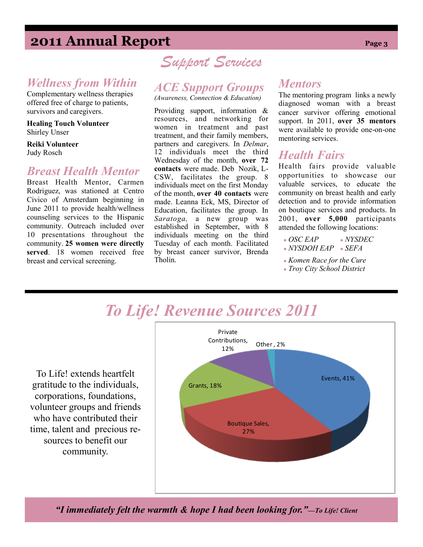## **2011 Annual Report Page 3**

### *Wellness from Within*

Complementary wellness therapies offered free of charge to patients, survivors and caregivers.

**Healing Touch Volunteer** Shirley Unser

**Reiki Volunteer**  Judy Rosch

### *Breast Health Mentor*

Breast Health Mentor, Carmen Rodriguez, was stationed at Centro Civico of Amsterdam beginning in June 2011 to provide health/wellness counseling services to the Hispanic community. Outreach included over 10 presentations throughout the community. **25 women were directly served**. 18 women received free breast and cervical screening.

# *Support Services*

## *ACE Support Groups*

*(Awareness, Connection & Education)*

Providing support, information & resources, and networking for women in treatment and past treatment, and their family members, partners and caregivers. In *Delmar*, 12 individuals meet the third Wednesday of the month, **over 72 contacts** were made. Deb Nozik, L-CSW, facilitates the group. 8 individuals meet on the first Monday of the month, **over 40 contacts** were made. Leanna Eck, MS, Director of Education, facilitates the group. In *Saratoga,* a new group was established in September, with 8 individuals meeting on the third Tuesday of each month. Facilitated by breast cancer survivor, Brenda Tholin.

### *Mentors*

The mentoring program links a newly diagnosed woman with a breast cancer survivor offering emotional support. In 2011, **over 35 mentors**  were available to provide one-on-one mentoring services.

### *Health Fairs*

Health fairs provide valuable opportunities to showcase our valuable services, to educate the community on breast health and early detection and to provide information on boutique services and products. In 2001, **over 5,000** participants attended the following locations:

- *OSC EAP NYSDEC*
- *NYSDOH EAP SEFA*
- *Komen Race for the Cure*
- *Troy City School District*

# *To Life! Revenue Sources 2011*

To Life! extends heartfelt gratitude to the individuals, corporations, foundations, volunteer groups and friends who have contributed their time, talent and precious resources to benefit our community.



*"I immediately felt the warmth & hope I had been looking for."—To Life! Client*